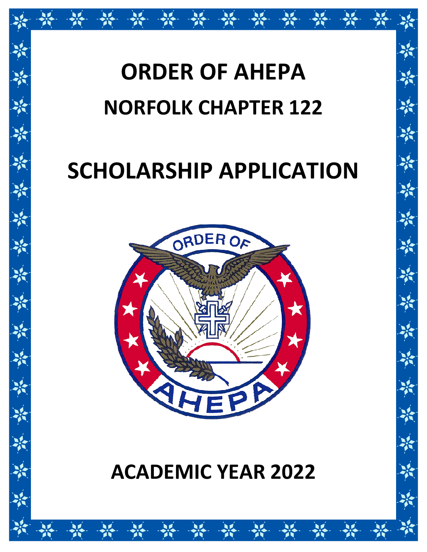# **ORDER OF AHEPA NORFOLK CHAPTER 122**

## **SCHOLARSHIP APPLICATION**



## **ACADEMIC YEAR 2022**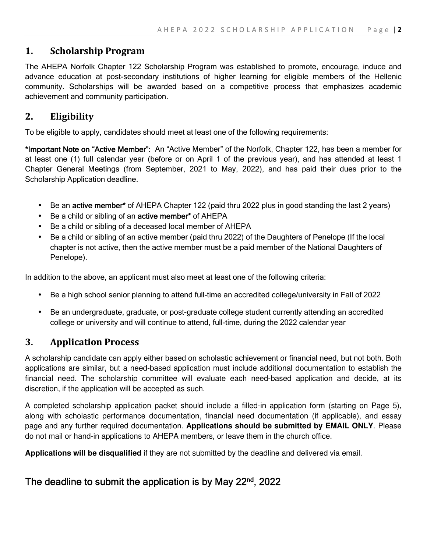#### **1. Scholarship Program**

The AHEPA Norfolk Chapter 122 Scholarship Program was established to promote, encourage, induce and advance education at post-secondary institutions of higher learning for eligible members of the Hellenic community. Scholarships will be awarded based on a competitive process that emphasizes academic achievement and community participation.

#### **2. Eligibility**

To be eligible to apply, candidates should meet at least one of the following requirements:

\*Important Note on "Active Member": An "Active Member" of the Norfolk, Chapter 122, has been a member for at least one (1) full calendar year (before or on April 1 of the previous year), and has attended at least 1 Chapter General Meetings (from September, 2021 to May, 2022), and has paid their dues prior to the Scholarship Application deadline.

- Be an active member<sup>\*</sup> of AHEPA Chapter 122 (paid thru 2022 plus in good standing the last 2 years)
- Be a child or sibling of an active member\* of AHEPA
- Be a child or sibling of a deceased local member of AHEPA
- Be a child or sibling of an active member (paid thru 2022) of the Daughters of Penelope (If the local chapter is not active, then the active member must be a paid member of the National Daughters of Penelope).

In addition to the above, an applicant must also meet at least one of the following criteria:

- Be a high school senior planning to attend full-time an accredited college/university in Fall of 2022
- Be an undergraduate, graduate, or post-graduate college student currently attending an accredited college or university and will continue to attend, full-time, during the 2022 calendar year

#### **3. Application Process**

A scholarship candidate can apply either based on scholastic achievement or financial need, but not both. Both applications are similar, but a need-based application must include additional documentation to establish the financial need. The scholarship committee will evaluate each need-based application and decide, at its discretion, if the application will be accepted as such.

A completed scholarship application packet should include a filled-in application form (starting on Page 5), along with scholastic performance documentation, financial need documentation (if applicable), and essay page and any further required documentation. **Applications should be submitted by EMAIL ONLY**. Please do not mail or hand-in applications to AHEPA members, or leave them in the church office.

**Applications will be disqualified** if they are not submitted by the deadline and delivered via email.

#### The deadline to submit the application is by May 22<sup>nd</sup>, 2022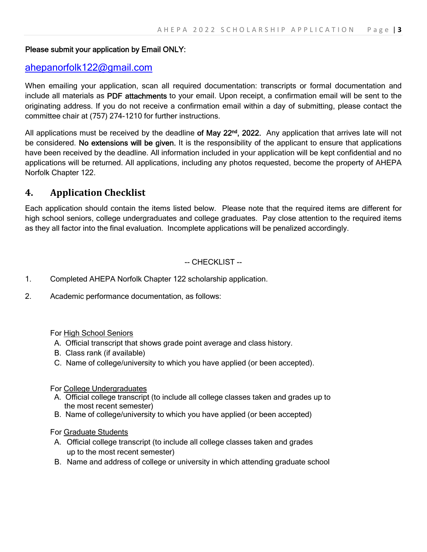#### Please submit your application by Email ONLY:

#### ahepanorfolk122@gmail.com

When emailing your application, scan all required documentation: transcripts or formal documentation and include all materials as PDF attachments to your email. Upon receipt, a confirmation email will be sent to the originating address. If you do not receive a confirmation email within a day of submitting, please contact the committee chair at (757) 274-1210 for further instructions.

All applications must be received by the deadline of May 22<sup>nd</sup>, 2022. Any application that arrives late will not be considered. No extensions will be given. It is the responsibility of the applicant to ensure that applications have been received by the deadline. All information included in your application will be kept confidential and no applications will be returned. All applications, including any photos requested, become the property of AHEPA Norfolk Chapter 122.

#### **4. Application Checklist**

Each application should contain the items listed below. Please note that the required items are different for high school seniors, college undergraduates and college graduates. Pay close attention to the required items as they all factor into the final evaluation. Incomplete applications will be penalized accordingly.

#### -- CHECKLIST --

- 1. Completed AHEPA Norfolk Chapter 122 scholarship application.
- 2. Academic performance documentation, as follows:

For High School Seniors

- A. Official transcript that shows grade point average and class history.
- B. Class rank (if available)
- C. Name of college/university to which you have applied (or been accepted).

For College Undergraduates

- A. Official college transcript (to include all college classes taken and grades up to the most recent semester)
- B. Name of college/university to which you have applied (or been accepted)

For Graduate Students

- A. Official college transcript (to include all college classes taken and grades up to the most recent semester)
- B. Name and address of college or university in which attending graduate school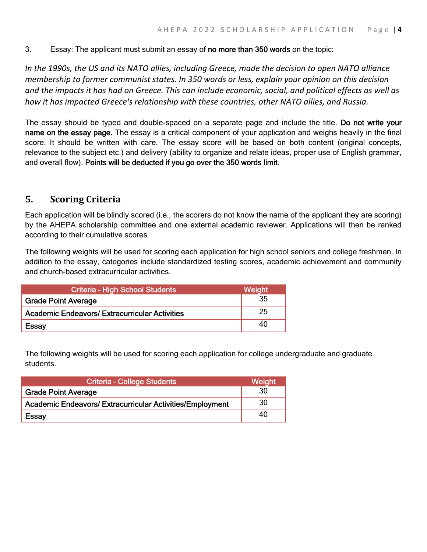3. Essay: The applicant must submit an essay of no more than 350 words on the topic:

*In the 1990s, the US and its NATO allies, including Greece, made the decision to open NATO alliance membership to former communist states. In 350 words or less, explain your opinion on this decision and the impacts it has had on Greece. This can include economic, social, and political effects as well as how it has impacted Greece's relationship with these countries, other NATO allies, and Russia.* 

The essay should be typed and double-spaced on a separate page and include the title. Do not write your name on the essay page. The essay is a critical component of your application and weighs heavily in the final score. It should be written with care. The essay score will be based on both content (original concepts, relevance to the subject etc.) and delivery (ability to organize and relate ideas, proper use of English grammar, and overall flow). Points will be deducted if you go over the 350 words limit.

#### **5. Scoring Criteria**

Each application will be blindly scored (i.e., the scorers do not know the name of the applicant they are scoring) by the AHEPA scholarship committee and one external academic reviewer. Applications will then be ranked according to their cumulative scores.

The following weights will be used for scoring each application for high school seniors and college freshmen. In addition to the essay, categories include standardized testing scores, academic achievement and community and church-based extracurricular activities.

| <b>Criteria - High School Students</b>                | Weight |
|-------------------------------------------------------|--------|
| <b>Grade Point Average</b>                            | 35     |
| <b>Academic Endeavors/ Extracurricular Activities</b> | 25     |
| <b>Essay</b>                                          | 40     |

The following weights will be used for scoring each application for college undergraduate and graduate students.

| <b>Criteria - College Students</b>                               | <b>Weight</b> |
|------------------------------------------------------------------|---------------|
| <b>Grade Point Average</b>                                       | 30            |
| <b>Academic Endeavors/ Extracurricular Activities/Employment</b> | 30            |
| <b>Essay</b>                                                     | 40            |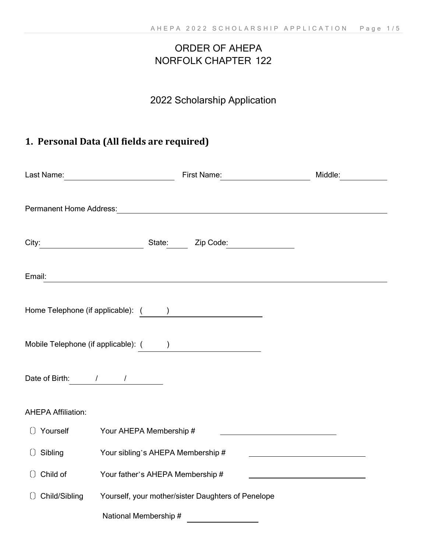## ORDER OF AHEPA NORFOLK CHAPTER 122

## 2022 Scholarship Application

## **1. Personal Data (All fields are required)**

|                           |                                       |                                                                                                                                                                                                                               | Middle:<br><u>and the state</u> |
|---------------------------|---------------------------------------|-------------------------------------------------------------------------------------------------------------------------------------------------------------------------------------------------------------------------------|---------------------------------|
|                           |                                       |                                                                                                                                                                                                                               |                                 |
|                           |                                       | City: City: City: City: City: City: City: City: City: City: City: City: City: City: City: City: City: City: City: City: City: City: City: City: City: City: City: City: City: City: City: City: City: City: City: City: City: |                                 |
| Email:                    |                                       |                                                                                                                                                                                                                               |                                 |
|                           |                                       | Home Telephone (if applicable): ( )                                                                                                                                                                                           |                                 |
|                           | Mobile Telephone (if applicable): ( ) |                                                                                                                                                                                                                               |                                 |
| Date of Birth: 1 1        |                                       |                                                                                                                                                                                                                               |                                 |
| <b>AHEPA Affiliation:</b> |                                       |                                                                                                                                                                                                                               |                                 |
|                           | () Yourself Your AHEPA Membership #   | <u> 1989 - Johann Barn, amerikansk politiker (d. 1989)</u>                                                                                                                                                                    |                                 |
| () Sibling                | Your sibling's AHEPA Membership #     |                                                                                                                                                                                                                               |                                 |
| () Child of               | Your father's AHEPA Membership #      | the control of the control of the control of the control of the control of                                                                                                                                                    |                                 |
| () Child/Sibling          |                                       | Yourself, your mother/sister Daughters of Penelope                                                                                                                                                                            |                                 |
|                           | National Membership #                 |                                                                                                                                                                                                                               |                                 |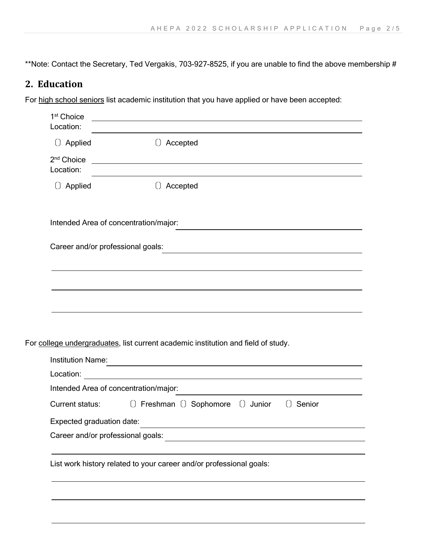\*\*Note: Contact the Secretary, Ted Vergakis, 703-927-8525, if you are unable to find the above membership #

### **2. Education**

For high school seniors list academic institution that you have applied or have been accepted:

| () Applied<br>() Accepted<br><u> 1989 - Johann Barn, mars eta bainar eta baina eta baina eta baina eta baina eta baina eta baina eta baina e</u><br>2 <sup>nd</sup> Choice<br>Location:<br>the control of the control of the control of the control of the control of the control of<br>() Applied<br>() Accepted<br>Intended Area of concentration/major:<br>Career and/or professional goals:<br><b>Institution Name:</b><br>and the control of the control of the control of the control of the control of the control of the control of the<br>Location:<br><u> 1989 - Johann Barn, mars ann an t-Amhainn an t-Amhainn an t-Amhainn an t-Amhainn an t-Amhainn an t-Amhainn an</u><br>Intended Area of concentration/major:<br>() Freshman () Sophomore () Junior<br>Current status:<br>Senior<br>$\begin{array}{c} \square \end{array}$<br>Expected graduation date:<br>Career and/or professional goals:<br>List work history related to your career and/or professional goals: | 1 <sup>st</sup> Choice<br>Location: |  |
|--------------------------------------------------------------------------------------------------------------------------------------------------------------------------------------------------------------------------------------------------------------------------------------------------------------------------------------------------------------------------------------------------------------------------------------------------------------------------------------------------------------------------------------------------------------------------------------------------------------------------------------------------------------------------------------------------------------------------------------------------------------------------------------------------------------------------------------------------------------------------------------------------------------------------------------------------------------------------------------|-------------------------------------|--|
| For college undergraduates, list current academic institution and field of study.                                                                                                                                                                                                                                                                                                                                                                                                                                                                                                                                                                                                                                                                                                                                                                                                                                                                                                    |                                     |  |
|                                                                                                                                                                                                                                                                                                                                                                                                                                                                                                                                                                                                                                                                                                                                                                                                                                                                                                                                                                                      |                                     |  |
|                                                                                                                                                                                                                                                                                                                                                                                                                                                                                                                                                                                                                                                                                                                                                                                                                                                                                                                                                                                      |                                     |  |
|                                                                                                                                                                                                                                                                                                                                                                                                                                                                                                                                                                                                                                                                                                                                                                                                                                                                                                                                                                                      |                                     |  |
|                                                                                                                                                                                                                                                                                                                                                                                                                                                                                                                                                                                                                                                                                                                                                                                                                                                                                                                                                                                      |                                     |  |
|                                                                                                                                                                                                                                                                                                                                                                                                                                                                                                                                                                                                                                                                                                                                                                                                                                                                                                                                                                                      |                                     |  |
|                                                                                                                                                                                                                                                                                                                                                                                                                                                                                                                                                                                                                                                                                                                                                                                                                                                                                                                                                                                      |                                     |  |
|                                                                                                                                                                                                                                                                                                                                                                                                                                                                                                                                                                                                                                                                                                                                                                                                                                                                                                                                                                                      |                                     |  |
|                                                                                                                                                                                                                                                                                                                                                                                                                                                                                                                                                                                                                                                                                                                                                                                                                                                                                                                                                                                      |                                     |  |
|                                                                                                                                                                                                                                                                                                                                                                                                                                                                                                                                                                                                                                                                                                                                                                                                                                                                                                                                                                                      |                                     |  |
|                                                                                                                                                                                                                                                                                                                                                                                                                                                                                                                                                                                                                                                                                                                                                                                                                                                                                                                                                                                      |                                     |  |
|                                                                                                                                                                                                                                                                                                                                                                                                                                                                                                                                                                                                                                                                                                                                                                                                                                                                                                                                                                                      |                                     |  |
|                                                                                                                                                                                                                                                                                                                                                                                                                                                                                                                                                                                                                                                                                                                                                                                                                                                                                                                                                                                      |                                     |  |
|                                                                                                                                                                                                                                                                                                                                                                                                                                                                                                                                                                                                                                                                                                                                                                                                                                                                                                                                                                                      |                                     |  |
|                                                                                                                                                                                                                                                                                                                                                                                                                                                                                                                                                                                                                                                                                                                                                                                                                                                                                                                                                                                      |                                     |  |
|                                                                                                                                                                                                                                                                                                                                                                                                                                                                                                                                                                                                                                                                                                                                                                                                                                                                                                                                                                                      |                                     |  |
|                                                                                                                                                                                                                                                                                                                                                                                                                                                                                                                                                                                                                                                                                                                                                                                                                                                                                                                                                                                      |                                     |  |
|                                                                                                                                                                                                                                                                                                                                                                                                                                                                                                                                                                                                                                                                                                                                                                                                                                                                                                                                                                                      |                                     |  |
|                                                                                                                                                                                                                                                                                                                                                                                                                                                                                                                                                                                                                                                                                                                                                                                                                                                                                                                                                                                      |                                     |  |
|                                                                                                                                                                                                                                                                                                                                                                                                                                                                                                                                                                                                                                                                                                                                                                                                                                                                                                                                                                                      |                                     |  |
|                                                                                                                                                                                                                                                                                                                                                                                                                                                                                                                                                                                                                                                                                                                                                                                                                                                                                                                                                                                      |                                     |  |
|                                                                                                                                                                                                                                                                                                                                                                                                                                                                                                                                                                                                                                                                                                                                                                                                                                                                                                                                                                                      |                                     |  |
|                                                                                                                                                                                                                                                                                                                                                                                                                                                                                                                                                                                                                                                                                                                                                                                                                                                                                                                                                                                      |                                     |  |
|                                                                                                                                                                                                                                                                                                                                                                                                                                                                                                                                                                                                                                                                                                                                                                                                                                                                                                                                                                                      |                                     |  |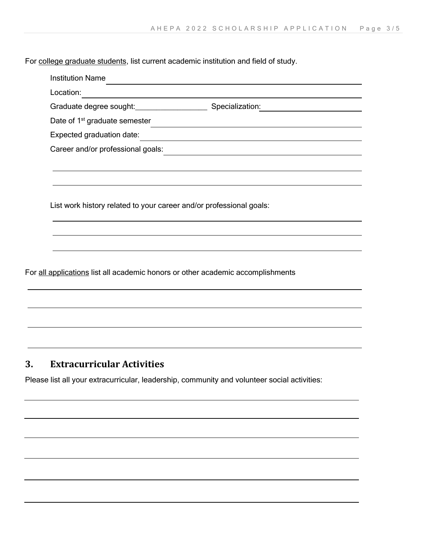For college graduate students, list current academic institution and field of study.

| Location:                                                           |                                                                          |
|---------------------------------------------------------------------|--------------------------------------------------------------------------|
| Graduate degree sought: Specialization:                             |                                                                          |
| Date of 1 <sup>st</sup> graduate semester                           |                                                                          |
| Expected graduation date:                                           | <u> 1989 - Johann Harry Barn, mars ar breist by de familie (f. 1918)</u> |
| Career and/or professional goals:                                   |                                                                          |
|                                                                     |                                                                          |
|                                                                     |                                                                          |
| List work history related to your career and/or professional goals: |                                                                          |
|                                                                     |                                                                          |
|                                                                     |                                                                          |
|                                                                     |                                                                          |
|                                                                     |                                                                          |

#### **3. Extracurricular Activities**

Please list all your extracurricular, leadership, community and volunteer social activities: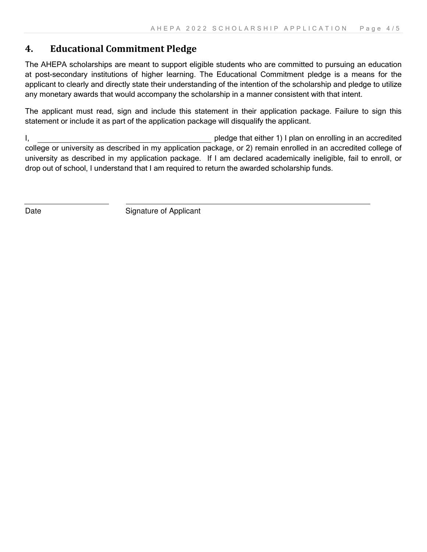#### **4. Educational Commitment Pledge**

The AHEPA scholarships are meant to support eligible students who are committed to pursuing an education at post-secondary institutions of higher learning. The Educational Commitment pledge is a means for the applicant to clearly and directly state their understanding of the intention of the scholarship and pledge to utilize any monetary awards that would accompany the scholarship in a manner consistent with that intent.

The applicant must read, sign and include this statement in their application package. Failure to sign this statement or include it as part of the application package will disqualify the applicant.

I, pledge that either 1) I plan on enrolling in an accredited college or university as described in my application package, or 2) remain enrolled in an accredited college of university as described in my application package. If I am declared academically ineligible, fail to enroll, or drop out of school, I understand that I am required to return the awarded scholarship funds.

i<br>I

Date Signature of Applicant